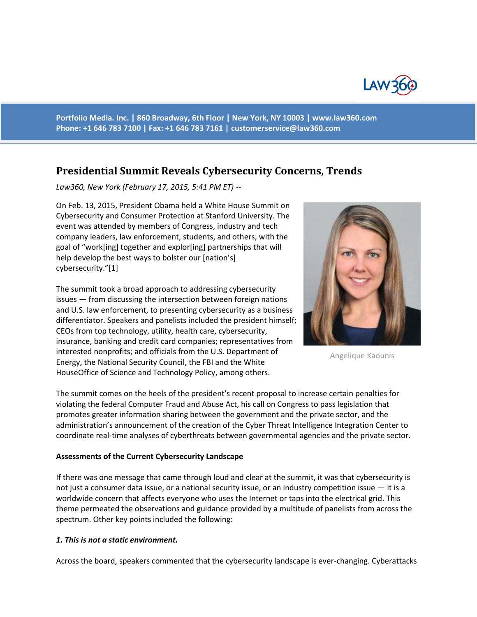

**Portfolio Media. Inc. | 860 Broadway, 6th Floor | New York, NY 10003 | www.law360.com Phone: +1 646 783 7100 | Fax: +1 646 783 7161 | [customerservice@law360.com](mailto:customerservice@law360.com)**

# **Presidential Summit Reveals Cybersecurity Concerns, Trends**

*Law360, New York (February 17, 2015, 5:41 PM ET) --*

On Feb. 13, 2015, President Obama held a White House Summit on Cybersecurity and Consumer Protection at Stanford University. The event was attended by members of Congress, industry and tech company leaders, law enforcement, students, and others, with the goal of "work[ing] together and explor[ing] partnerships that will help develop the best ways to bolster our [nation's] cybersecurity."[1]

The summit took a broad approach to addressing cybersecurity issues — from discussing the intersection between foreign nations and U.S. law enforcement, to presenting cybersecurity as a business differentiator. Speakers and panelists included the president himself; CEOs from top technology, utility, health care, cybersecurity, insurance, banking and credit card companies; representatives from interested nonprofits; and officials from the U.S. Department of Energy, the National Security Council, the FBI and the White HouseOffice of Science and Technology Policy, among others.



Angelique Kaounis

The summit comes on the heels of the president's recent proposal to increase certain penalties for violating the federal Computer Fraud and Abuse Act, his call on Congress to pass legislation that promotes greater information sharing between the government and the private sector, and the administration's announcement of the creation of the Cyber Threat Intelligence Integration Center to coordinate real-time analyses of cyberthreats between governmental agencies and the private sector.

#### **Assessments of the Current Cybersecurity Landscape**

If there was one message that came through loud and clear at the summit, it was that cybersecurity is not just a consumer data issue, or a national security issue, or an industry competition issue — it is a worldwide concern that affects everyone who uses the Internet or taps into the electrical grid. This theme permeated the observations and guidance provided by a multitude of panelists from across the spectrum. Other key points included the following:

#### *1. This is not a static environment.*

Across the board, speakers commented that the cybersecurity landscape is ever-changing. Cyberattacks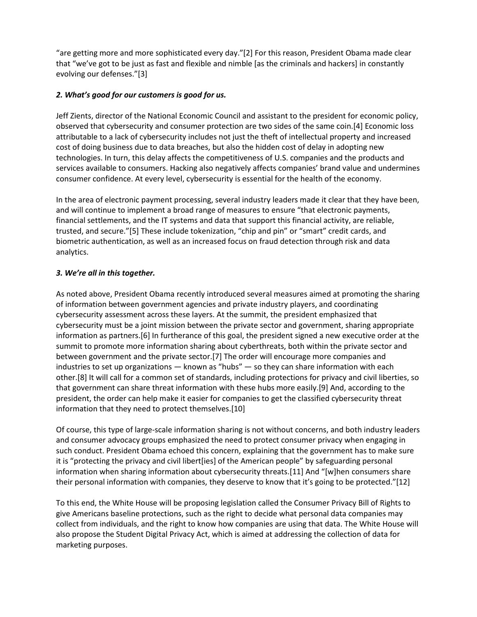"are getting more and more sophisticated every day."[2] For this reason, President Obama made clear that "we've got to be just as fast and flexible and nimble [as the criminals and hackers] in constantly evolving our defenses."[3]

# *2. What's good for our customers is good for us.*

Jeff Zients, director of the National Economic Council and assistant to the president for economic policy, observed that cybersecurity and consumer protection are two sides of the same coin.[4] Economic loss attributable to a lack of cybersecurity includes not just the theft of intellectual property and increased cost of doing business due to data breaches, but also the hidden cost of delay in adopting new technologies. In turn, this delay affects the competitiveness of U.S. companies and the products and services available to consumers. Hacking also negatively affects companies' brand value and undermines consumer confidence. At every level, cybersecurity is essential for the health of the economy.

In the area of electronic payment processing, several industry leaders made it clear that they have been, and will continue to implement a broad range of measures to ensure "that electronic payments, financial settlements, and the IT systems and data that support this financial activity, are reliable, trusted, and secure."[5] These include tokenization, "chip and pin" or "smart" credit cards, and biometric authentication, as well as an increased focus on fraud detection through risk and data analytics.

### *3. We're all in this together.*

As noted above, President Obama recently introduced several measures aimed at promoting the sharing of information between government agencies and private industry players, and coordinating cybersecurity assessment across these layers. At the summit, the president emphasized that cybersecurity must be a joint mission between the private sector and government, sharing appropriate information as partners.[6] In furtherance of this goal, the president signed a new executive order at the summit to promote more information sharing about cyberthreats, both within the private sector and between government and the private sector.[7] The order will encourage more companies and industries to set up organizations — known as "hubs" — so they can share information with each other.[8] It will call for a common set of standards, including protections for privacy and civil liberties, so that government can share threat information with these hubs more easily.[9] And, according to the president, the order can help make it easier for companies to get the classified cybersecurity threat information that they need to protect themselves.[10]

Of course, this type of large-scale information sharing is not without concerns, and both industry leaders and consumer advocacy groups emphasized the need to protect consumer privacy when engaging in such conduct. President Obama echoed this concern, explaining that the government has to make sure it is "protecting the privacy and civil libert[ies] of the American people" by safeguarding personal information when sharing information about cybersecurity threats.[11] And "[w]hen consumers share their personal information with companies, they deserve to know that it's going to be protected."[12]

To this end, the White House will be proposing legislation called the Consumer Privacy Bill of Rights to give Americans baseline protections, such as the right to decide what personal data companies may collect from individuals, and the right to know how companies are using that data. The White House will also propose the Student Digital Privacy Act, which is aimed at addressing the collection of data for marketing purposes.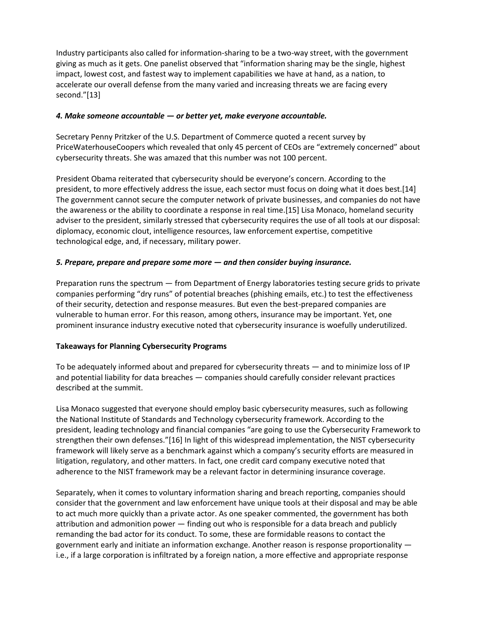Industry participants also called for information-sharing to be a two-way street, with the government giving as much as it gets. One panelist observed that "information sharing may be the single, highest impact, lowest cost, and fastest way to implement capabilities we have at hand, as a nation, to accelerate our overall defense from the many varied and increasing threats we are facing every second."[13]

### *4. Make someone accountable — or better yet, make everyone accountable.*

Secretary Penny Pritzker of the U.S. Department of Commerce quoted a recent survey by PriceWaterhouseCoopers which revealed that only 45 percent of CEOs are "extremely concerned" about cybersecurity threats. She was amazed that this number was not 100 percent.

President Obama reiterated that cybersecurity should be everyone's concern. According to the president, to more effectively address the issue, each sector must focus on doing what it does best.[14] The government cannot secure the computer network of private businesses, and companies do not have the awareness or the ability to coordinate a response in real time.[15] Lisa Monaco, homeland security adviser to the president, similarly stressed that cybersecurity requires the use of all tools at our disposal: diplomacy, economic clout, intelligence resources, law enforcement expertise, competitive technological edge, and, if necessary, military power.

# *5. Prepare, prepare and prepare some more — and then consider buying insurance.*

Preparation runs the spectrum — from Department of Energy laboratories testing secure grids to private companies performing "dry runs" of potential breaches (phishing emails, etc.) to test the effectiveness of their security, detection and response measures. But even the best-prepared companies are vulnerable to human error. For this reason, among others, insurance may be important. Yet, one prominent insurance industry executive noted that cybersecurity insurance is woefully underutilized.

# **Takeaways for Planning Cybersecurity Programs**

To be adequately informed about and prepared for cybersecurity threats — and to minimize loss of IP and potential liability for data breaches — companies should carefully consider relevant practices described at the summit.

Lisa Monaco suggested that everyone should employ basic cybersecurity measures, such as following the National Institute of Standards and Technology cybersecurity framework. According to the president, leading technology and financial companies "are going to use the Cybersecurity Framework to strengthen their own defenses."[16] In light of this widespread implementation, the NIST cybersecurity framework will likely serve as a benchmark against which a company's security efforts are measured in litigation, regulatory, and other matters. In fact, one credit card company executive noted that adherence to the NIST framework may be a relevant factor in determining insurance coverage.

Separately, when it comes to voluntary information sharing and breach reporting, companies should consider that the government and law enforcement have unique tools at their disposal and may be able to act much more quickly than a private actor. As one speaker commented, the government has both attribution and admonition power — finding out who is responsible for a data breach and publicly remanding the bad actor for its conduct. To some, these are formidable reasons to contact the government early and initiate an information exchange. Another reason is response proportionality i.e., if a large corporation is infiltrated by a foreign nation, a more effective and appropriate response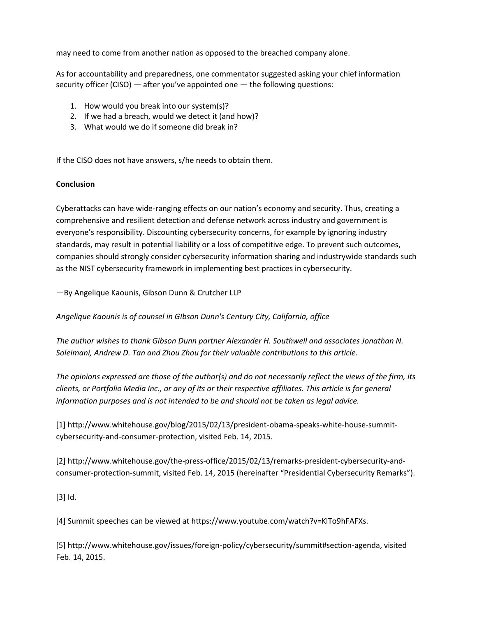may need to come from another nation as opposed to the breached company alone.

As for accountability and preparedness, one commentator suggested asking your chief information security officer (CISO) — after you've appointed one — the following questions:

- 1. How would you break into our system(s)?
- 2. If we had a breach, would we detect it (and how)?
- 3. What would we do if someone did break in?

If the CISO does not have answers, s/he needs to obtain them.

#### **Conclusion**

Cyberattacks can have wide-ranging effects on our nation's economy and security. Thus, creating a comprehensive and resilient detection and defense network across industry and government is everyone's responsibility. Discounting cybersecurity concerns, for example by ignoring industry standards, may result in potential liability or a loss of competitive edge. To prevent such outcomes, companies should strongly consider cybersecurity information sharing and industrywide standards such as the NIST cybersecurity framework in implementing best practices in cybersecurity.

—By Angelique Kaounis, Gibson Dunn & Crutcher LLP

*Angelique Kaounis is of counsel in GIbson Dunn's Century City, California, office*

*The author wishes to thank Gibson Dunn partner Alexander H. Southwell and associates Jonathan N. Soleimani, Andrew D. Tan and Zhou Zhou for their valuable contributions to this article.*

*The opinions expressed are those of the author(s) and do not necessarily reflect the views of the firm, its clients, or Portfolio Media Inc., or any of its or their respective affiliates. This article is for general information purposes and is not intended to be and should not be taken as legal advice.*

[1] http://www.whitehouse.gov/blog/2015/02/13/president-obama-speaks-white-house-summitcybersecurity-and-consumer-protection, visited Feb. 14, 2015.

[2] http://www.whitehouse.gov/the-press-office/2015/02/13/remarks-president-cybersecurity-andconsumer-protection-summit, visited Feb. 14, 2015 (hereinafter "Presidential Cybersecurity Remarks").

[3] Id.

[4] Summit speeches can be viewed at https://www.youtube.com/watch?v=KlTo9hFAFXs.

[5] http://www.whitehouse.gov/issues/foreign-policy/cybersecurity/summit#section-agenda, visited Feb. 14, 2015.